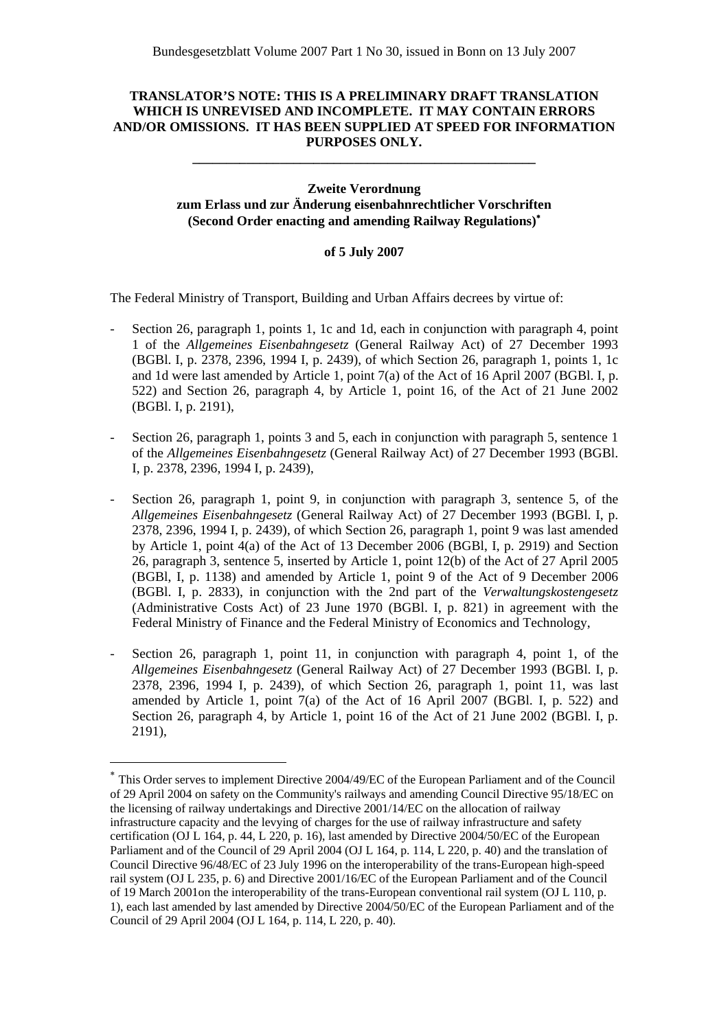# **TRANSLATOR'S NOTE: THIS IS A PRELIMINARY DRAFT TRANSLATION WHICH IS UNREVISED AND INCOMPLETE. IT MAY CONTAIN ERRORS AND/OR OMISSIONS. IT HAS BEEN SUPPLIED AT SPEED FOR INFORMATION PURPOSES ONLY.**

**\_\_\_\_\_\_\_\_\_\_\_\_\_\_\_\_\_\_\_\_\_\_\_\_\_\_\_\_\_\_\_\_\_\_\_\_\_\_\_\_\_\_\_\_\_\_\_\_\_\_\_** 

# **Zweite Verordnung zum Erlass und zur Änderung eisenbahnrechtlicher Vorschriften (Second Order enacting and amending Railway Regulations)**<sup>∗</sup>

### **of 5 July 2007**

The Federal Ministry of Transport, Building and Urban Affairs decrees by virtue of:

- Section 26, paragraph 1, points 1, 1c and 1d, each in conjunction with paragraph 4, point 1 of the *Allgemeines Eisenbahngesetz* (General Railway Act) of 27 December 1993 (BGBl. I, p. 2378, 2396, 1994 I, p. 2439), of which Section 26, paragraph 1, points 1, 1c and 1d were last amended by Article 1, point 7(a) of the Act of 16 April 2007 (BGBl. I, p. 522) and Section 26, paragraph 4, by Article 1, point 16, of the Act of 21 June 2002 (BGBl. I, p. 2191),
- Section 26, paragraph 1, points 3 and 5, each in conjunction with paragraph 5, sentence 1 of the *Allgemeines Eisenbahngesetz* (General Railway Act) of 27 December 1993 (BGBl. I, p. 2378, 2396, 1994 I, p. 2439),
- Section 26, paragraph 1, point 9, in conjunction with paragraph 3, sentence 5, of the *Allgemeines Eisenbahngesetz* (General Railway Act) of 27 December 1993 (BGBl. I, p. 2378, 2396, 1994 I, p. 2439), of which Section 26, paragraph 1, point 9 was last amended by Article 1, point  $\frac{1}{4}$ (a) of the Act of 13 December 2006 (BGBI, I, p. 2919) and Section 26, paragraph 3, sentence 5, inserted by Article 1, point 12(b) of the Act of 27 April 2005 (BGBl, I, p. 1138) and amended by Article 1, point 9 of the Act of 9 December 2006 (BGBl. I, p. 2833), in conjunction with the 2nd part of the *Verwaltungskostengesetz* (Administrative Costs Act) of 23 June 1970 (BGBl. I, p. 821) in agreement with the Federal Ministry of Finance and the Federal Ministry of Economics and Technology,
- Section 26, paragraph 1, point 11, in conjunction with paragraph 4, point 1, of the *Allgemeines Eisenbahngesetz* (General Railway Act) of 27 December 1993 (BGBl. I, p. 2378, 2396, 1994 I, p. 2439), of which Section 26, paragraph 1, point 11, was last amended by Article 1, point 7(a) of the Act of 16 April 2007 (BGBl. I, p. 522) and Section 26, paragraph 4, by Article 1, point 16 of the Act of 21 June 2002 (BGBl. I, p. 2191),

 $\overline{a}$ 

This Order serves to implement Directive 2004/49/EC of the European Parliament and of the Council of 29 April 2004 on safety on the Community's railways and amending Council Directive 95/18/EC on the licensing of railway undertakings and Directive 2001/14/EC on the allocation of railway infrastructure capacity and the levying of charges for the use of railway infrastructure and safety certification (OJ L 164, p. 44, L 220, p. 16), last amended by Directive 2004/50/EC of the European Parliament and of the Council of 29 April 2004 (OJ L 164, p. 114, L 220, p. 40) and the translation of Council Directive 96/48/EC of 23 July 1996 on the interoperability of the trans-European high-speed rail system (OJ L 235, p. 6) and Directive 2001/16/EC of the European Parliament and of the Council of 19 March 2001on the interoperability of the trans-European conventional rail system (OJ L 110, p. 1), each last amended by last amended by Directive 2004/50/EC of the European Parliament and of the Council of 29 April 2004 (OJ L 164, p. 114, L 220, p. 40).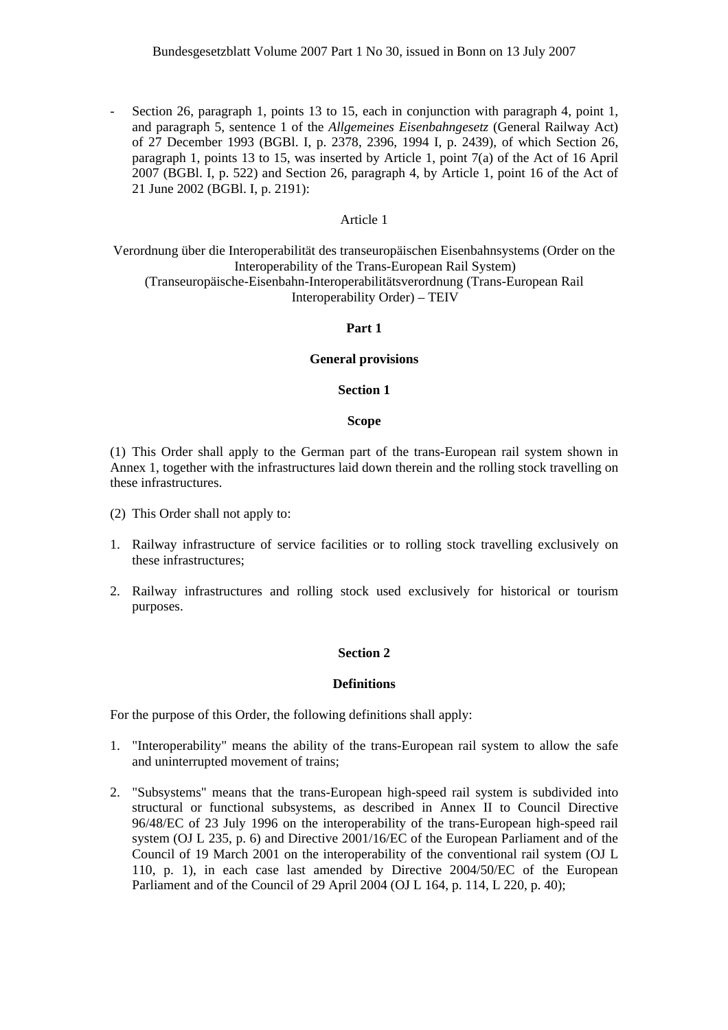- Section 26, paragraph 1, points 13 to 15, each in conjunction with paragraph 4, point 1, and paragraph 5, sentence 1 of the *Allgemeines Eisenbahngesetz* (General Railway Act) of 27 December 1993 (BGBl. I, p. 2378, 2396, 1994 I, p. 2439), of which Section 26, paragraph 1, points 13 to 15, was inserted by Article 1, point 7(a) of the Act of 16 April 2007 (BGBl. I, p. 522) and Section 26, paragraph 4, by Article 1, point 16 of the Act of 21 June 2002 (BGBl. I, p. 2191):

### Article 1

Verordnung über die Interoperabilität des transeuropäischen Eisenbahnsystems (Order on the Interoperability of the Trans-European Rail System) (Transeuropäische-Eisenbahn-Interoperabilitätsverordnung (Trans-European Rail Interoperability Order) – TEIV

# **Part 1**

### **General provisions**

#### **Section 1**

#### **Scope**

(1) This Order shall apply to the German part of the trans-European rail system shown in Annex 1, together with the infrastructures laid down therein and the rolling stock travelling on these infrastructures.

- (2) This Order shall not apply to:
- 1. Railway infrastructure of service facilities or to rolling stock travelling exclusively on these infrastructures;
- 2. Railway infrastructures and rolling stock used exclusively for historical or tourism purposes.

### **Section 2**

#### **Definitions**

For the purpose of this Order, the following definitions shall apply:

- 1. "Interoperability" means the ability of the trans-European rail system to allow the safe and uninterrupted movement of trains;
- 2. "Subsystems" means that the trans-European high-speed rail system is subdivided into structural or functional subsystems, as described in Annex II to Council Directive 96/48/EC of 23 July 1996 on the interoperability of the trans-European high-speed rail system (OJ L 235, p. 6) and Directive 2001/16/EC of the European Parliament and of the Council of 19 March 2001 on the interoperability of the conventional rail system (OJ L 110, p. 1), in each case last amended by Directive 2004/50/EC of the European Parliament and of the Council of 29 April 2004 (OJ L 164, p. 114, L 220, p. 40);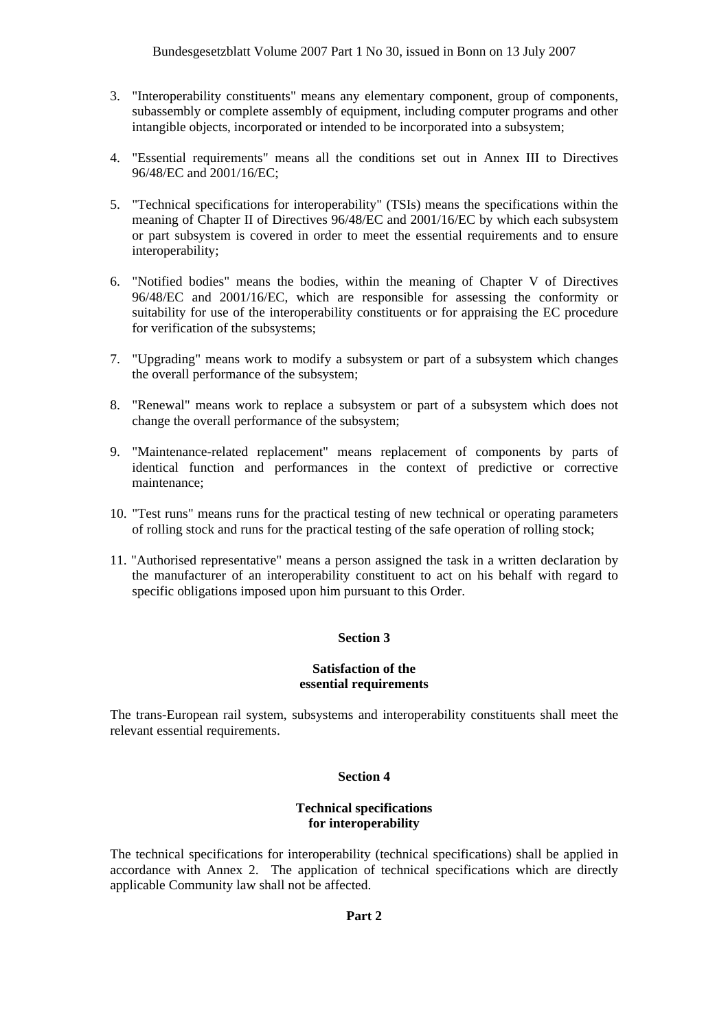- 3. "Interoperability constituents" means any elementary component, group of components, subassembly or complete assembly of equipment, including computer programs and other intangible objects, incorporated or intended to be incorporated into a subsystem;
- 4. "Essential requirements" means all the conditions set out in Annex III to Directives 96/48/EC and 2001/16/EC;
- 5. "Technical specifications for interoperability" (TSIs) means the specifications within the meaning of Chapter II of Directives 96/48/EC and 2001/16/EC by which each subsystem or part subsystem is covered in order to meet the essential requirements and to ensure interoperability;
- 6. "Notified bodies" means the bodies, within the meaning of Chapter V of Directives 96/48/EC and 2001/16/EC, which are responsible for assessing the conformity or suitability for use of the interoperability constituents or for appraising the EC procedure for verification of the subsystems;
- 7. "Upgrading" means work to modify a subsystem or part of a subsystem which changes the overall performance of the subsystem;
- 8. "Renewal" means work to replace a subsystem or part of a subsystem which does not change the overall performance of the subsystem;
- 9. "Maintenance-related replacement" means replacement of components by parts of identical function and performances in the context of predictive or corrective maintenance;
- 10. "Test runs" means runs for the practical testing of new technical or operating parameters of rolling stock and runs for the practical testing of the safe operation of rolling stock;
- 11. "Authorised representative" means a person assigned the task in a written declaration by the manufacturer of an interoperability constituent to act on his behalf with regard to specific obligations imposed upon him pursuant to this Order.

# **Section 3**

### **Satisfaction of the essential requirements**

The trans-European rail system, subsystems and interoperability constituents shall meet the relevant essential requirements.

#### **Section 4**

### **Technical specifications for interoperability**

The technical specifications for interoperability (technical specifications) shall be applied in accordance with Annex 2. The application of technical specifications which are directly applicable Community law shall not be affected.

### **Part 2**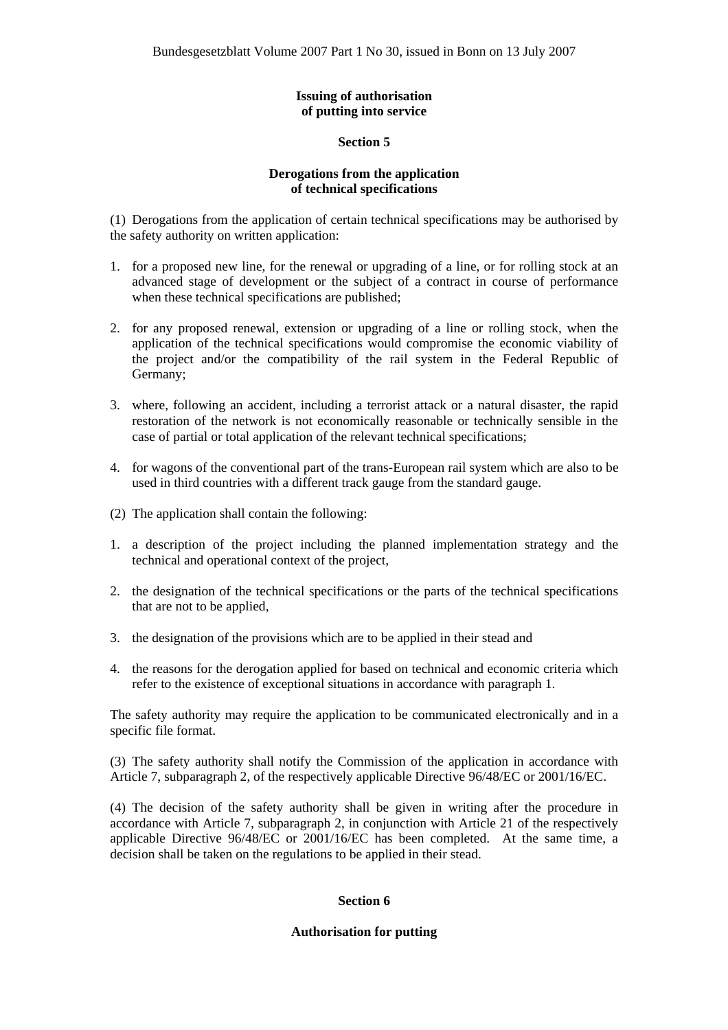# **Issuing of authorisation of putting into service**

# **Section 5**

# **Derogations from the application of technical specifications**

(1) Derogations from the application of certain technical specifications may be authorised by the safety authority on written application:

- 1. for a proposed new line, for the renewal or upgrading of a line, or for rolling stock at an advanced stage of development or the subject of a contract in course of performance when these technical specifications are published;
- 2. for any proposed renewal, extension or upgrading of a line or rolling stock, when the application of the technical specifications would compromise the economic viability of the project and/or the compatibility of the rail system in the Federal Republic of Germany;
- 3. where, following an accident, including a terrorist attack or a natural disaster, the rapid restoration of the network is not economically reasonable or technically sensible in the case of partial or total application of the relevant technical specifications;
- 4. for wagons of the conventional part of the trans-European rail system which are also to be used in third countries with a different track gauge from the standard gauge.
- (2) The application shall contain the following:
- 1. a description of the project including the planned implementation strategy and the technical and operational context of the project,
- 2. the designation of the technical specifications or the parts of the technical specifications that are not to be applied,
- 3. the designation of the provisions which are to be applied in their stead and
- 4. the reasons for the derogation applied for based on technical and economic criteria which refer to the existence of exceptional situations in accordance with paragraph 1.

The safety authority may require the application to be communicated electronically and in a specific file format.

(3) The safety authority shall notify the Commission of the application in accordance with Article 7, subparagraph 2, of the respectively applicable Directive 96/48/EC or 2001/16/EC.

(4) The decision of the safety authority shall be given in writing after the procedure in accordance with Article 7, subparagraph 2, in conjunction with Article 21 of the respectively applicable Directive 96/48/EC or 2001/16/EC has been completed. At the same time, a decision shall be taken on the regulations to be applied in their stead.

# **Section 6**

# **Authorisation for putting**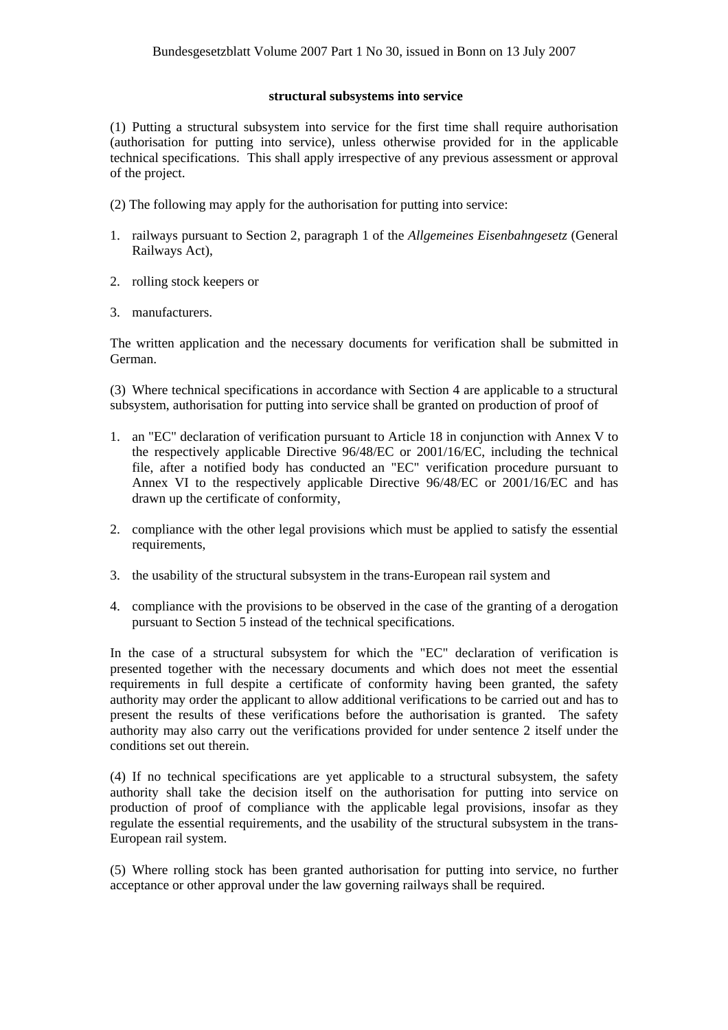### **structural subsystems into service**

(1) Putting a structural subsystem into service for the first time shall require authorisation (authorisation for putting into service), unless otherwise provided for in the applicable technical specifications. This shall apply irrespective of any previous assessment or approval of the project.

- (2) The following may apply for the authorisation for putting into service:
- 1. railways pursuant to Section 2, paragraph 1 of the *Allgemeines Eisenbahngesetz* (General Railways Act),
- 2. rolling stock keepers or
- 3. manufacturers.

The written application and the necessary documents for verification shall be submitted in German.

(3) Where technical specifications in accordance with Section 4 are applicable to a structural subsystem, authorisation for putting into service shall be granted on production of proof of

- 1. an "EC" declaration of verification pursuant to Article 18 in conjunction with Annex V to the respectively applicable Directive 96/48/EC or 2001/16/EC, including the technical file, after a notified body has conducted an "EC" verification procedure pursuant to Annex VI to the respectively applicable Directive 96/48/EC or 2001/16/EC and has drawn up the certificate of conformity,
- 2. compliance with the other legal provisions which must be applied to satisfy the essential requirements,
- 3. the usability of the structural subsystem in the trans-European rail system and
- 4. compliance with the provisions to be observed in the case of the granting of a derogation pursuant to Section 5 instead of the technical specifications.

In the case of a structural subsystem for which the "EC" declaration of verification is presented together with the necessary documents and which does not meet the essential requirements in full despite a certificate of conformity having been granted, the safety authority may order the applicant to allow additional verifications to be carried out and has to present the results of these verifications before the authorisation is granted. The safety authority may also carry out the verifications provided for under sentence 2 itself under the conditions set out therein.

(4) If no technical specifications are yet applicable to a structural subsystem, the safety authority shall take the decision itself on the authorisation for putting into service on production of proof of compliance with the applicable legal provisions, insofar as they regulate the essential requirements, and the usability of the structural subsystem in the trans-European rail system.

(5) Where rolling stock has been granted authorisation for putting into service, no further acceptance or other approval under the law governing railways shall be required.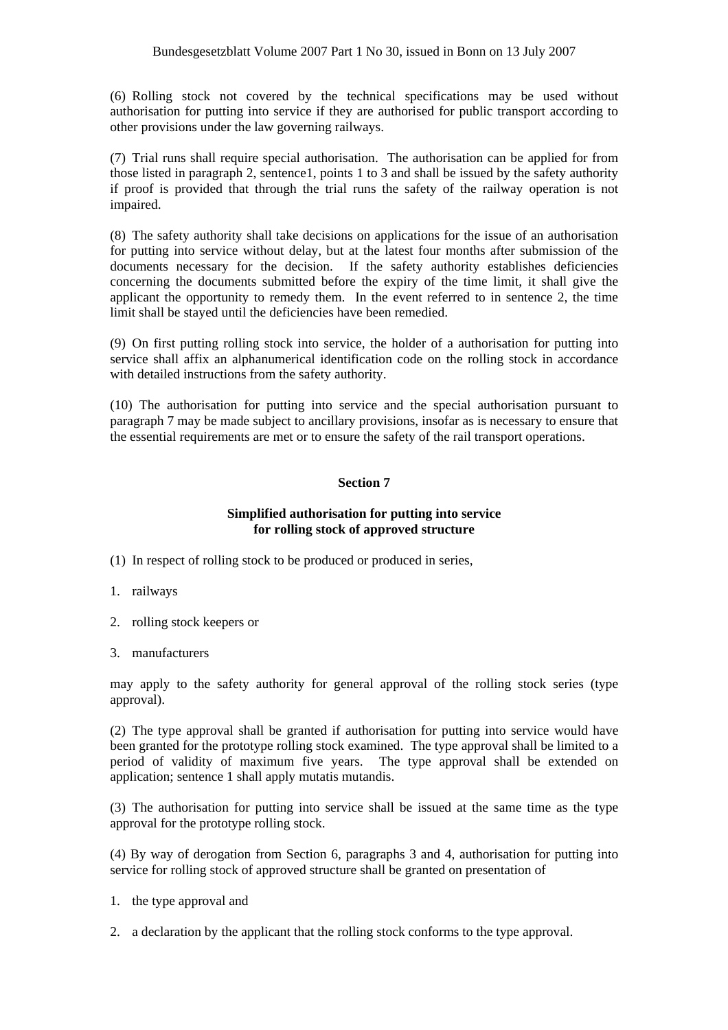(6) Rolling stock not covered by the technical specifications may be used without authorisation for putting into service if they are authorised for public transport according to other provisions under the law governing railways.

(7) Trial runs shall require special authorisation. The authorisation can be applied for from those listed in paragraph 2, sentence1, points 1 to 3 and shall be issued by the safety authority if proof is provided that through the trial runs the safety of the railway operation is not impaired.

(8) The safety authority shall take decisions on applications for the issue of an authorisation for putting into service without delay, but at the latest four months after submission of the documents necessary for the decision. If the safety authority establishes deficiencies concerning the documents submitted before the expiry of the time limit, it shall give the applicant the opportunity to remedy them. In the event referred to in sentence 2, the time limit shall be stayed until the deficiencies have been remedied.

(9) On first putting rolling stock into service, the holder of a authorisation for putting into service shall affix an alphanumerical identification code on the rolling stock in accordance with detailed instructions from the safety authority.

(10) The authorisation for putting into service and the special authorisation pursuant to paragraph 7 may be made subject to ancillary provisions, insofar as is necessary to ensure that the essential requirements are met or to ensure the safety of the rail transport operations.

# **Section 7**

# **Simplified authorisation for putting into service for rolling stock of approved structure**

(1) In respect of rolling stock to be produced or produced in series,

- 1. railways
- 2. rolling stock keepers or
- 3. manufacturers

may apply to the safety authority for general approval of the rolling stock series (type approval).

(2) The type approval shall be granted if authorisation for putting into service would have been granted for the prototype rolling stock examined. The type approval shall be limited to a period of validity of maximum five years. The type approval shall be extended on application; sentence 1 shall apply mutatis mutandis.

(3) The authorisation for putting into service shall be issued at the same time as the type approval for the prototype rolling stock.

(4) By way of derogation from Section 6, paragraphs 3 and 4, authorisation for putting into service for rolling stock of approved structure shall be granted on presentation of

- 1. the type approval and
- 2. a declaration by the applicant that the rolling stock conforms to the type approval.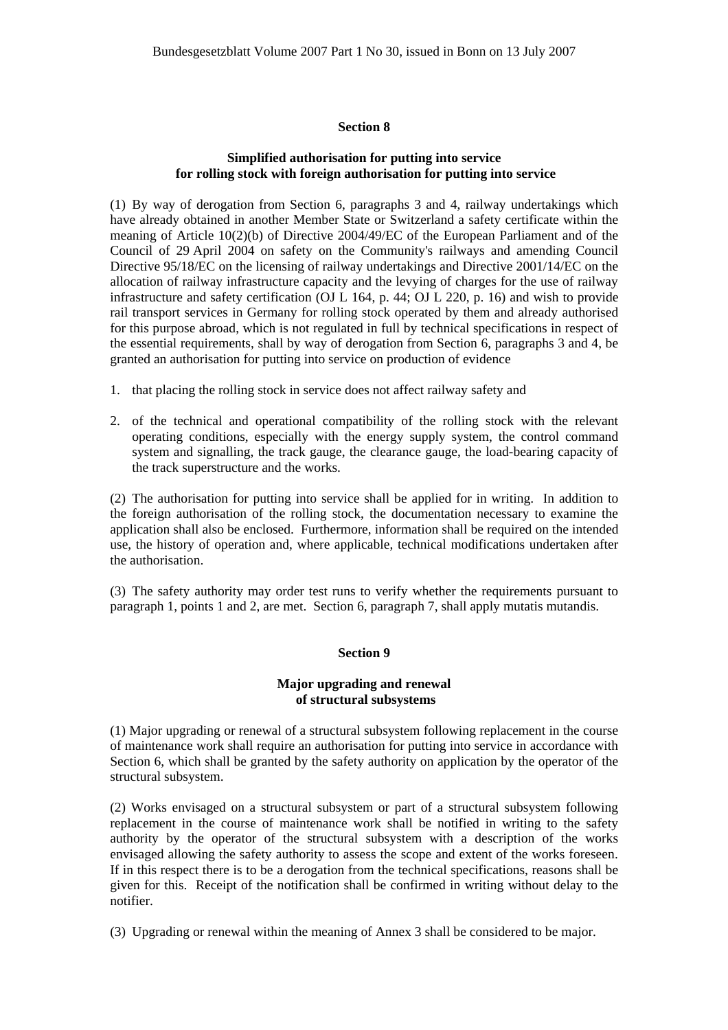### **Section 8**

# **Simplified authorisation for putting into service for rolling stock with foreign authorisation for putting into service**

(1) By way of derogation from Section 6, paragraphs 3 and 4, railway undertakings which have already obtained in another Member State or Switzerland a safety certificate within the meaning of Article 10(2)(b) of Directive 2004/49/EC of the European Parliament and of the Council of 29 April 2004 on safety on the Community's railways and amending Council Directive 95/18/EC on the licensing of railway undertakings and Directive 2001/14/EC on the allocation of railway infrastructure capacity and the levying of charges for the use of railway infrastructure and safety certification (OJ L 164, p. 44; OJ L 220, p. 16) and wish to provide rail transport services in Germany for rolling stock operated by them and already authorised for this purpose abroad, which is not regulated in full by technical specifications in respect of the essential requirements, shall by way of derogation from Section 6, paragraphs 3 and 4, be granted an authorisation for putting into service on production of evidence

- 1. that placing the rolling stock in service does not affect railway safety and
- 2. of the technical and operational compatibility of the rolling stock with the relevant operating conditions, especially with the energy supply system, the control command system and signalling, the track gauge, the clearance gauge, the load-bearing capacity of the track superstructure and the works.

(2) The authorisation for putting into service shall be applied for in writing. In addition to the foreign authorisation of the rolling stock, the documentation necessary to examine the application shall also be enclosed. Furthermore, information shall be required on the intended use, the history of operation and, where applicable, technical modifications undertaken after the authorisation.

(3) The safety authority may order test runs to verify whether the requirements pursuant to paragraph 1, points 1 and 2, are met. Section 6, paragraph 7, shall apply mutatis mutandis.

#### **Section 9**

### **Major upgrading and renewal of structural subsystems**

(1) Major upgrading or renewal of a structural subsystem following replacement in the course of maintenance work shall require an authorisation for putting into service in accordance with Section 6, which shall be granted by the safety authority on application by the operator of the structural subsystem.

(2) Works envisaged on a structural subsystem or part of a structural subsystem following replacement in the course of maintenance work shall be notified in writing to the safety authority by the operator of the structural subsystem with a description of the works envisaged allowing the safety authority to assess the scope and extent of the works foreseen. If in this respect there is to be a derogation from the technical specifications, reasons shall be given for this. Receipt of the notification shall be confirmed in writing without delay to the notifier.

(3) Upgrading or renewal within the meaning of Annex 3 shall be considered to be major.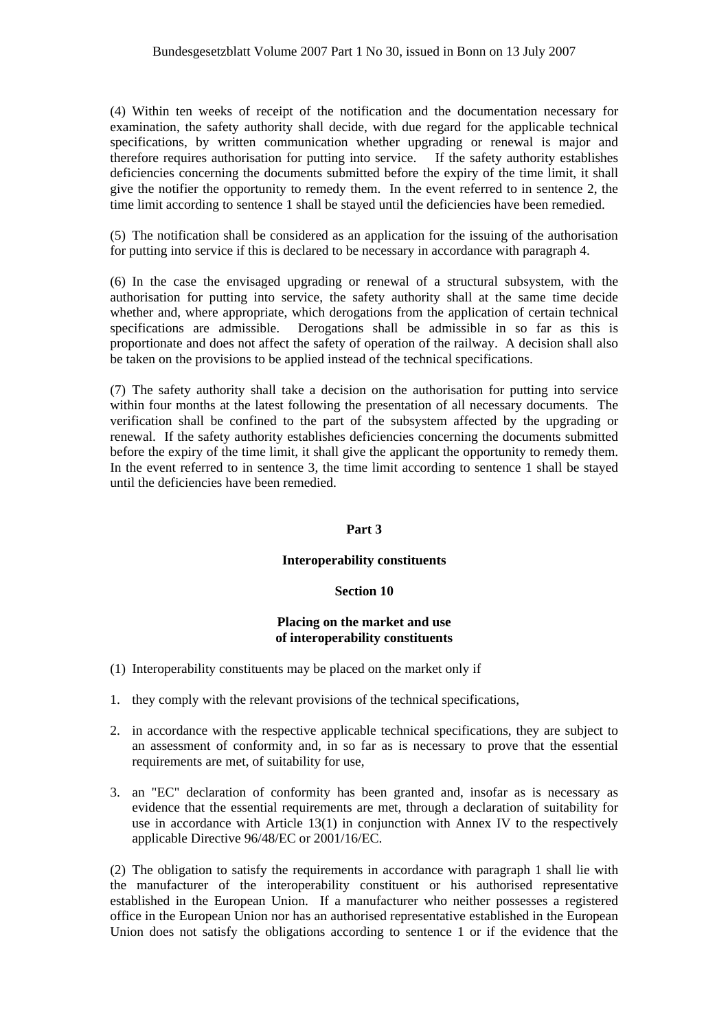(4) Within ten weeks of receipt of the notification and the documentation necessary for examination, the safety authority shall decide, with due regard for the applicable technical specifications, by written communication whether upgrading or renewal is major and therefore requires authorisation for putting into service. If the safety authority establishes deficiencies concerning the documents submitted before the expiry of the time limit, it shall give the notifier the opportunity to remedy them. In the event referred to in sentence 2, the time limit according to sentence 1 shall be stayed until the deficiencies have been remedied.

(5) The notification shall be considered as an application for the issuing of the authorisation for putting into service if this is declared to be necessary in accordance with paragraph 4.

(6) In the case the envisaged upgrading or renewal of a structural subsystem, with the authorisation for putting into service, the safety authority shall at the same time decide whether and, where appropriate, which derogations from the application of certain technical specifications are admissible. Derogations shall be admissible in so far as this is proportionate and does not affect the safety of operation of the railway. A decision shall also be taken on the provisions to be applied instead of the technical specifications.

(7) The safety authority shall take a decision on the authorisation for putting into service within four months at the latest following the presentation of all necessary documents. The verification shall be confined to the part of the subsystem affected by the upgrading or renewal. If the safety authority establishes deficiencies concerning the documents submitted before the expiry of the time limit, it shall give the applicant the opportunity to remedy them. In the event referred to in sentence 3, the time limit according to sentence 1 shall be stayed until the deficiencies have been remedied.

# **Part 3**

# **Interoperability constituents**

# **Section 10**

# **Placing on the market and use of interoperability constituents**

- (1) Interoperability constituents may be placed on the market only if
- 1. they comply with the relevant provisions of the technical specifications,
- 2. in accordance with the respective applicable technical specifications, they are subject to an assessment of conformity and, in so far as is necessary to prove that the essential requirements are met, of suitability for use,
- 3. an "EC" declaration of conformity has been granted and, insofar as is necessary as evidence that the essential requirements are met, through a declaration of suitability for use in accordance with Article 13(1) in conjunction with Annex IV to the respectively applicable Directive 96/48/EC or 2001/16/EC.

(2) The obligation to satisfy the requirements in accordance with paragraph 1 shall lie with the manufacturer of the interoperability constituent or his authorised representative established in the European Union. If a manufacturer who neither possesses a registered office in the European Union nor has an authorised representative established in the European Union does not satisfy the obligations according to sentence 1 or if the evidence that the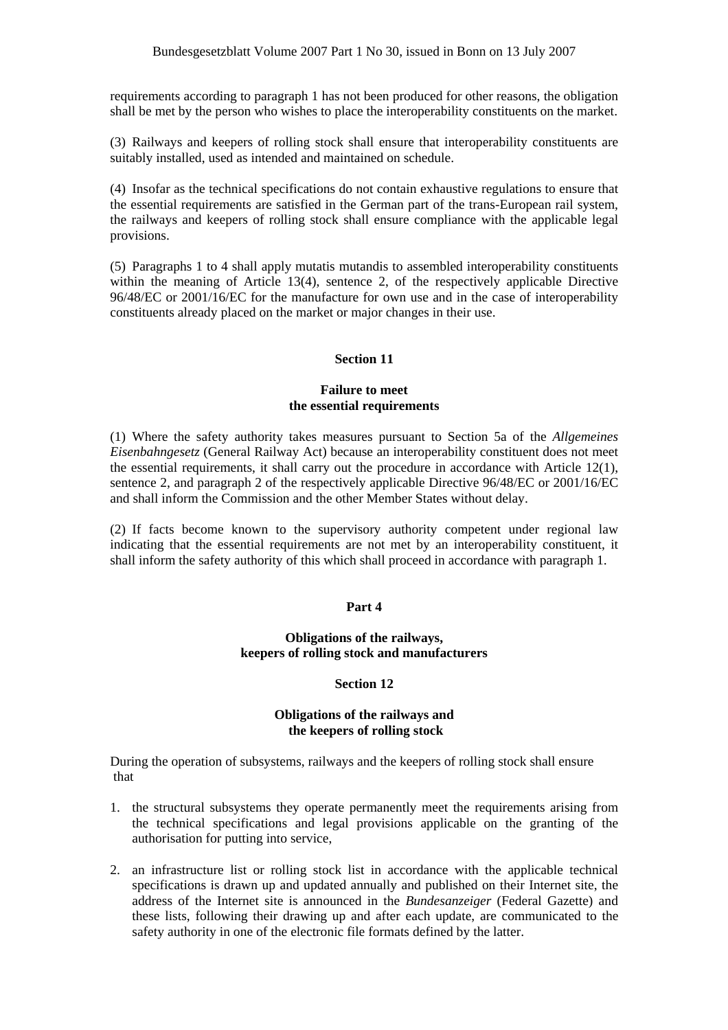requirements according to paragraph 1 has not been produced for other reasons, the obligation shall be met by the person who wishes to place the interoperability constituents on the market.

(3) Railways and keepers of rolling stock shall ensure that interoperability constituents are suitably installed, used as intended and maintained on schedule.

(4) Insofar as the technical specifications do not contain exhaustive regulations to ensure that the essential requirements are satisfied in the German part of the trans-European rail system, the railways and keepers of rolling stock shall ensure compliance with the applicable legal provisions.

(5) Paragraphs 1 to 4 shall apply mutatis mutandis to assembled interoperability constituents within the meaning of Article 13(4), sentence 2, of the respectively applicable Directive 96/48/EC or 2001/16/EC for the manufacture for own use and in the case of interoperability constituents already placed on the market or major changes in their use.

# **Section 11**

# **Failure to meet the essential requirements**

(1) Where the safety authority takes measures pursuant to Section 5a of the *Allgemeines Eisenbahngesetz* (General Railway Act) because an interoperability constituent does not meet the essential requirements, it shall carry out the procedure in accordance with Article 12(1), sentence 2, and paragraph 2 of the respectively applicable Directive 96/48/EC or 2001/16/EC and shall inform the Commission and the other Member States without delay.

(2) If facts become known to the supervisory authority competent under regional law indicating that the essential requirements are not met by an interoperability constituent, it shall inform the safety authority of this which shall proceed in accordance with paragraph 1.

# **Part 4**

# **Obligations of the railways, keepers of rolling stock and manufacturers**

# **Section 12**

# **Obligations of the railways and the keepers of rolling stock**

During the operation of subsystems, railways and the keepers of rolling stock shall ensure that

- 1. the structural subsystems they operate permanently meet the requirements arising from the technical specifications and legal provisions applicable on the granting of the authorisation for putting into service,
- 2. an infrastructure list or rolling stock list in accordance with the applicable technical specifications is drawn up and updated annually and published on their Internet site, the address of the Internet site is announced in the *Bundesanzeiger* (Federal Gazette) and these lists, following their drawing up and after each update, are communicated to the safety authority in one of the electronic file formats defined by the latter.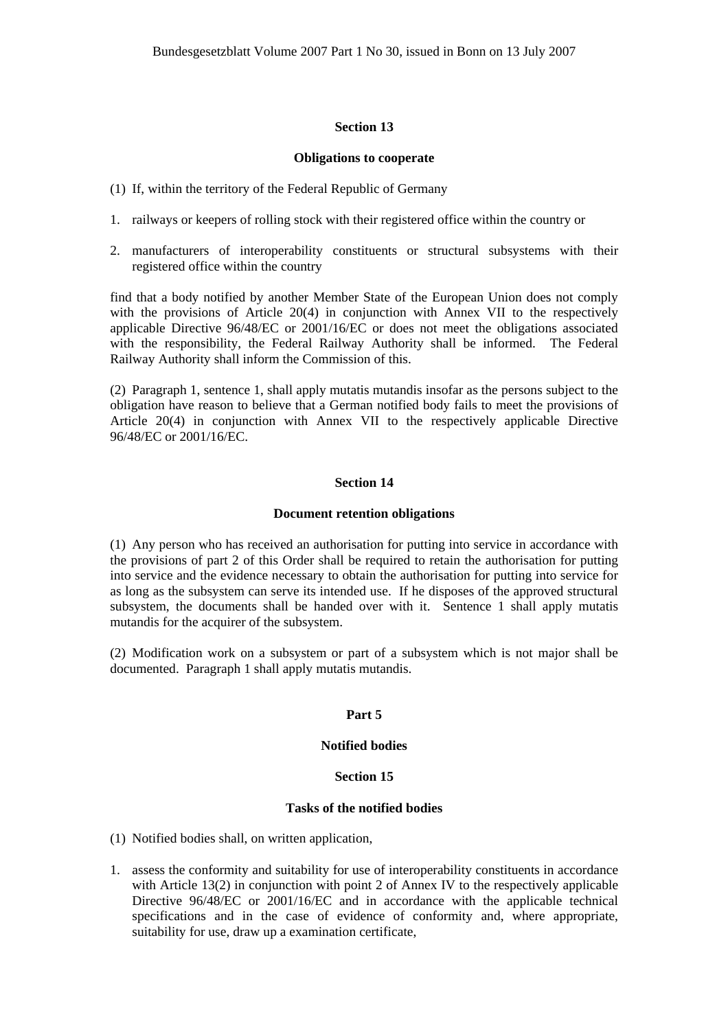### **Section 13**

#### **Obligations to cooperate**

- (1) If, within the territory of the Federal Republic of Germany
- 1. railways or keepers of rolling stock with their registered office within the country or
- 2. manufacturers of interoperability constituents or structural subsystems with their registered office within the country

find that a body notified by another Member State of the European Union does not comply with the provisions of Article 20(4) in conjunction with Annex VII to the respectively applicable Directive 96/48/EC or 2001/16/EC or does not meet the obligations associated with the responsibility, the Federal Railway Authority shall be informed. The Federal Railway Authority shall inform the Commission of this.

(2) Paragraph 1, sentence 1, shall apply mutatis mutandis insofar as the persons subject to the obligation have reason to believe that a German notified body fails to meet the provisions of Article 20(4) in conjunction with Annex VII to the respectively applicable Directive 96/48/EC or 2001/16/EC.

### **Section 14**

#### **Document retention obligations**

(1) Any person who has received an authorisation for putting into service in accordance with the provisions of part 2 of this Order shall be required to retain the authorisation for putting into service and the evidence necessary to obtain the authorisation for putting into service for as long as the subsystem can serve its intended use. If he disposes of the approved structural subsystem, the documents shall be handed over with it. Sentence 1 shall apply mutatis mutandis for the acquirer of the subsystem.

(2) Modification work on a subsystem or part of a subsystem which is not major shall be documented. Paragraph 1 shall apply mutatis mutandis.

# **Part 5**

#### **Notified bodies**

#### **Section 15**

#### **Tasks of the notified bodies**

(1) Notified bodies shall, on written application,

1. assess the conformity and suitability for use of interoperability constituents in accordance with Article 13(2) in conjunction with point 2 of Annex IV to the respectively applicable Directive 96/48/EC or 2001/16/EC and in accordance with the applicable technical specifications and in the case of evidence of conformity and, where appropriate, suitability for use, draw up a examination certificate,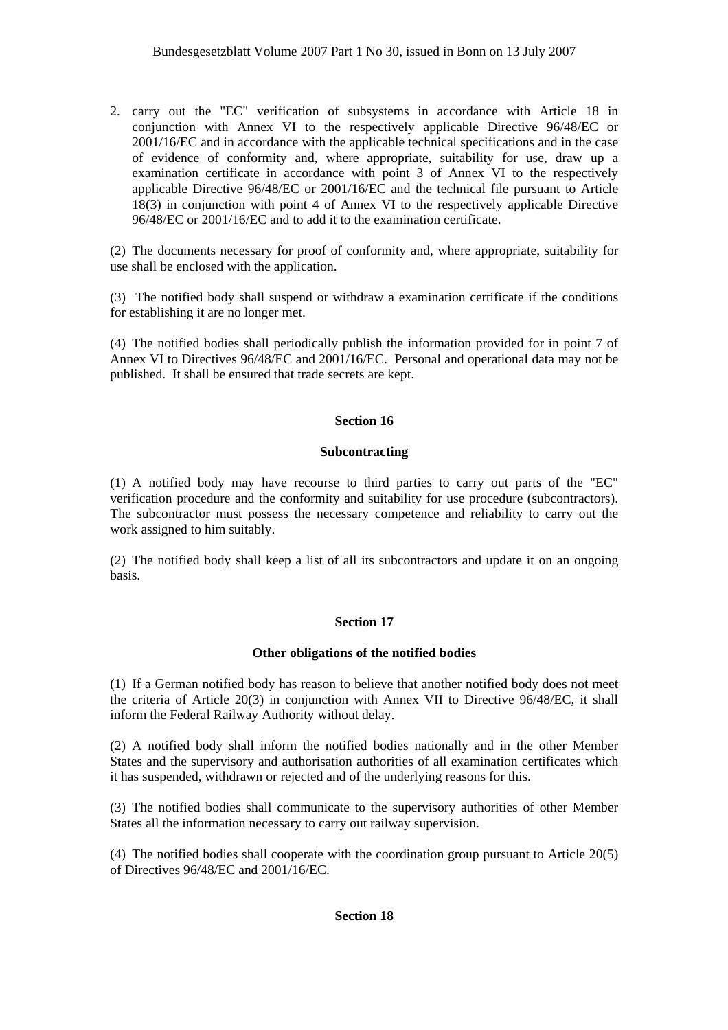2. carry out the "EC" verification of subsystems in accordance with Article 18 in conjunction with Annex VI to the respectively applicable Directive 96/48/EC or 2001/16/EC and in accordance with the applicable technical specifications and in the case of evidence of conformity and, where appropriate, suitability for use, draw up a examination certificate in accordance with point 3 of Annex VI to the respectively applicable Directive 96/48/EC or 2001/16/EC and the technical file pursuant to Article 18(3) in conjunction with point 4 of Annex VI to the respectively applicable Directive 96/48/EC or 2001/16/EC and to add it to the examination certificate.

(2) The documents necessary for proof of conformity and, where appropriate, suitability for use shall be enclosed with the application.

(3) The notified body shall suspend or withdraw a examination certificate if the conditions for establishing it are no longer met.

(4) The notified bodies shall periodically publish the information provided for in point 7 of Annex VI to Directives 96/48/EC and 2001/16/EC. Personal and operational data may not be published. It shall be ensured that trade secrets are kept.

# **Section 16**

# **Subcontracting**

(1) A notified body may have recourse to third parties to carry out parts of the "EC" verification procedure and the conformity and suitability for use procedure (subcontractors). The subcontractor must possess the necessary competence and reliability to carry out the work assigned to him suitably.

(2) The notified body shall keep a list of all its subcontractors and update it on an ongoing basis.

# **Section 17**

# **Other obligations of the notified bodies**

(1) If a German notified body has reason to believe that another notified body does not meet the criteria of Article 20(3) in conjunction with Annex VII to Directive 96/48/EC, it shall inform the Federal Railway Authority without delay.

(2) A notified body shall inform the notified bodies nationally and in the other Member States and the supervisory and authorisation authorities of all examination certificates which it has suspended, withdrawn or rejected and of the underlying reasons for this.

(3) The notified bodies shall communicate to the supervisory authorities of other Member States all the information necessary to carry out railway supervision.

(4) The notified bodies shall cooperate with the coordination group pursuant to Article 20(5) of Directives 96/48/EC and 2001/16/EC.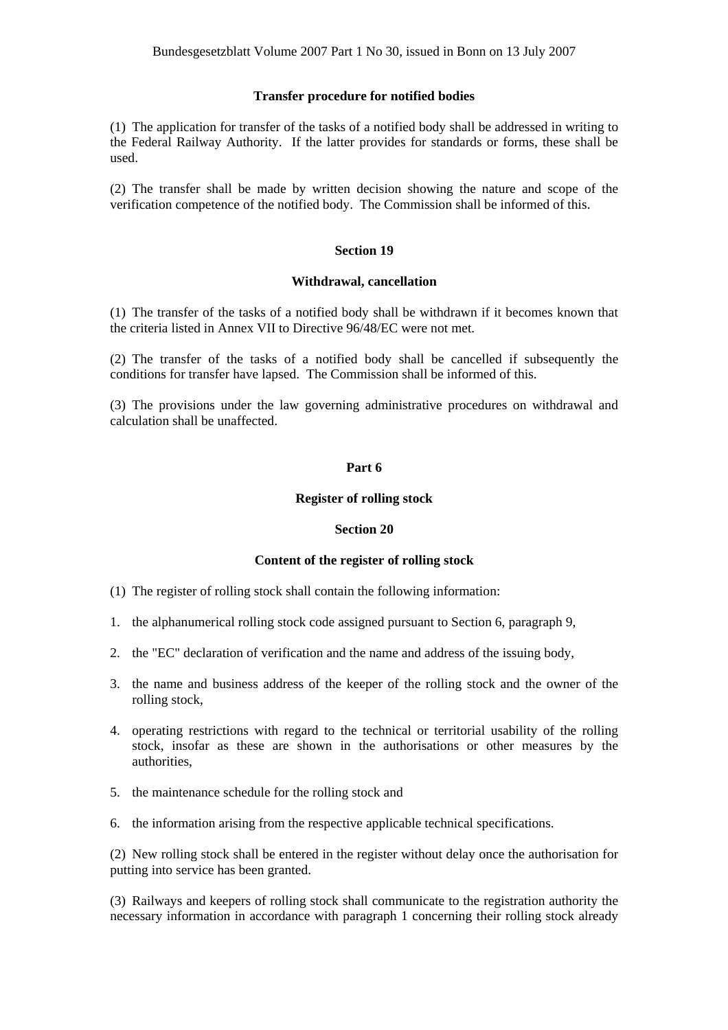### **Transfer procedure for notified bodies**

(1) The application for transfer of the tasks of a notified body shall be addressed in writing to the Federal Railway Authority. If the latter provides for standards or forms, these shall be used.

(2) The transfer shall be made by written decision showing the nature and scope of the verification competence of the notified body. The Commission shall be informed of this.

### **Section 19**

#### **Withdrawal, cancellation**

(1) The transfer of the tasks of a notified body shall be withdrawn if it becomes known that the criteria listed in Annex VII to Directive 96/48/EC were not met.

(2) The transfer of the tasks of a notified body shall be cancelled if subsequently the conditions for transfer have lapsed. The Commission shall be informed of this.

(3) The provisions under the law governing administrative procedures on withdrawal and calculation shall be unaffected.

### **Part 6**

### **Register of rolling stock**

### **Section 20**

# **Content of the register of rolling stock**

- (1) The register of rolling stock shall contain the following information:
- 1. the alphanumerical rolling stock code assigned pursuant to Section 6, paragraph 9,
- 2. the "EC" declaration of verification and the name and address of the issuing body,
- 3. the name and business address of the keeper of the rolling stock and the owner of the rolling stock,
- 4. operating restrictions with regard to the technical or territorial usability of the rolling stock, insofar as these are shown in the authorisations or other measures by the authorities,
- 5. the maintenance schedule for the rolling stock and
- 6. the information arising from the respective applicable technical specifications.

(2) New rolling stock shall be entered in the register without delay once the authorisation for putting into service has been granted.

(3) Railways and keepers of rolling stock shall communicate to the registration authority the necessary information in accordance with paragraph 1 concerning their rolling stock already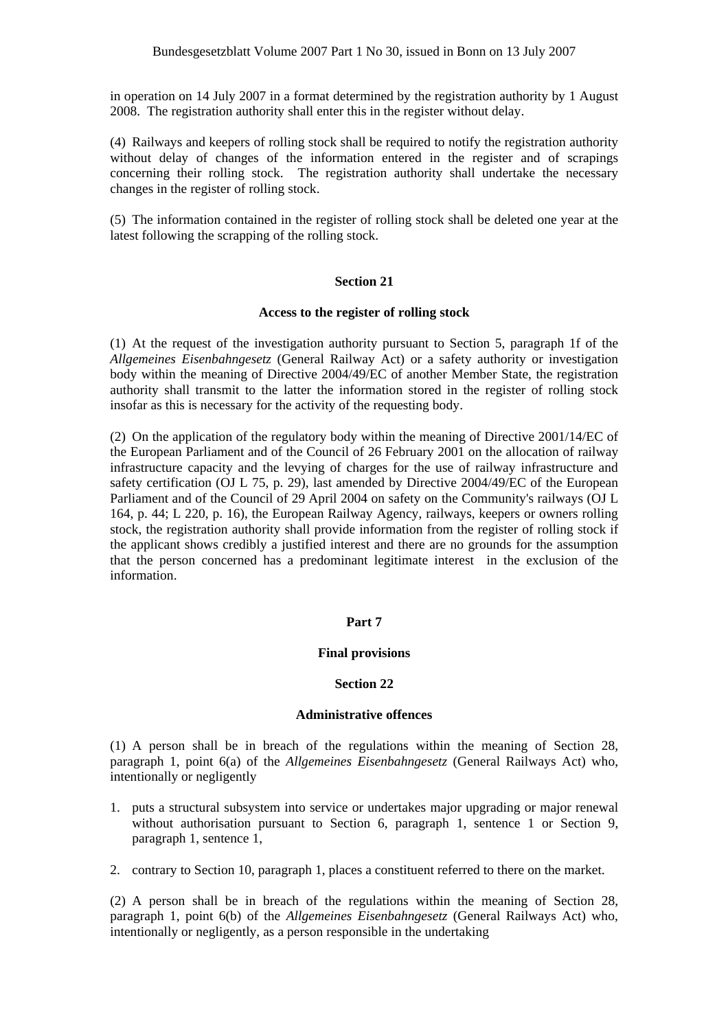in operation on 14 July 2007 in a format determined by the registration authority by 1 August 2008. The registration authority shall enter this in the register without delay.

(4) Railways and keepers of rolling stock shall be required to notify the registration authority without delay of changes of the information entered in the register and of scrapings concerning their rolling stock. The registration authority shall undertake the necessary changes in the register of rolling stock.

(5) The information contained in the register of rolling stock shall be deleted one year at the latest following the scrapping of the rolling stock.

#### **Section 21**

#### **Access to the register of rolling stock**

(1) At the request of the investigation authority pursuant to Section 5, paragraph 1f of the *Allgemeines Eisenbahngesetz* (General Railway Act) or a safety authority or investigation body within the meaning of Directive 2004/49/EC of another Member State, the registration authority shall transmit to the latter the information stored in the register of rolling stock insofar as this is necessary for the activity of the requesting body.

(2) On the application of the regulatory body within the meaning of Directive 2001/14/EC of the European Parliament and of the Council of 26 February 2001 on the allocation of railway infrastructure capacity and the levying of charges for the use of railway infrastructure and safety certification (OJ L 75, p. 29), last amended by Directive 2004/49/EC of the European Parliament and of the Council of 29 April 2004 on safety on the Community's railways (OJ L 164, p. 44; L 220, p. 16), the European Railway Agency, railways, keepers or owners rolling stock, the registration authority shall provide information from the register of rolling stock if the applicant shows credibly a justified interest and there are no grounds for the assumption that the person concerned has a predominant legitimate interest in the exclusion of the information.

#### **Part 7**

### **Final provisions**

#### **Section 22**

#### **Administrative offences**

(1) A person shall be in breach of the regulations within the meaning of Section 28, paragraph 1, point 6(a) of the *Allgemeines Eisenbahngesetz* (General Railways Act) who, intentionally or negligently

- 1. puts a structural subsystem into service or undertakes major upgrading or major renewal without authorisation pursuant to Section 6, paragraph 1, sentence 1 or Section 9, paragraph 1, sentence 1,
- 2. contrary to Section 10, paragraph 1, places a constituent referred to there on the market.

(2) A person shall be in breach of the regulations within the meaning of Section 28, paragraph 1, point 6(b) of the *Allgemeines Eisenbahngesetz* (General Railways Act) who, intentionally or negligently, as a person responsible in the undertaking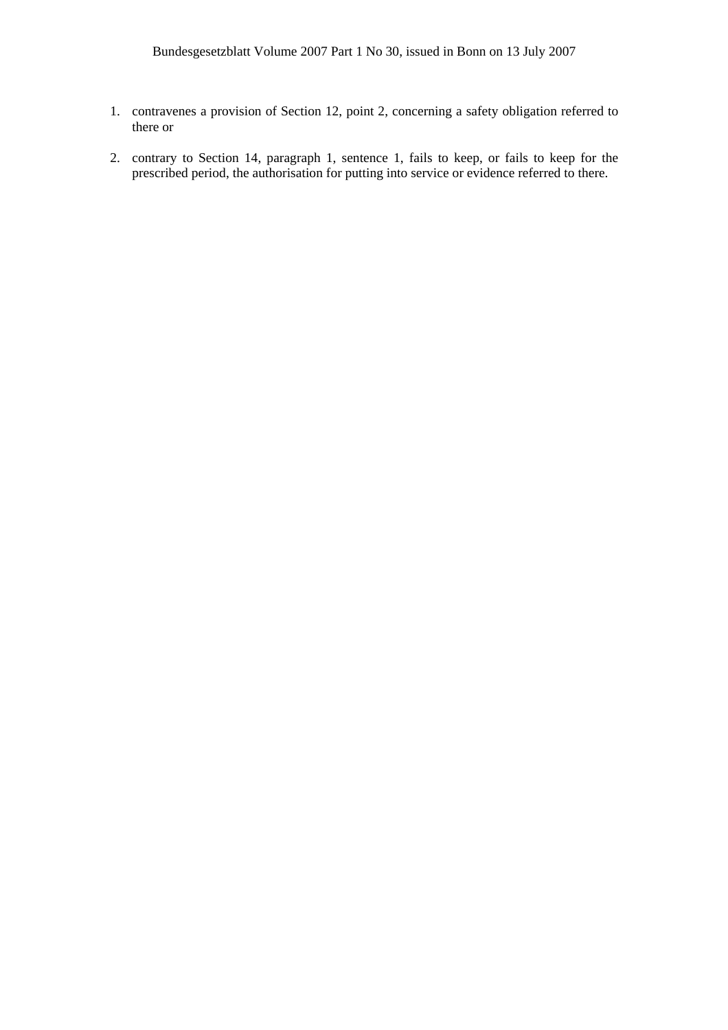- 1. contravenes a provision of Section 12, point 2, concerning a safety obligation referred to there or
- 2. contrary to Section 14, paragraph 1, sentence 1, fails to keep, or fails to keep for the prescribed period, the authorisation for putting into service or evidence referred to there.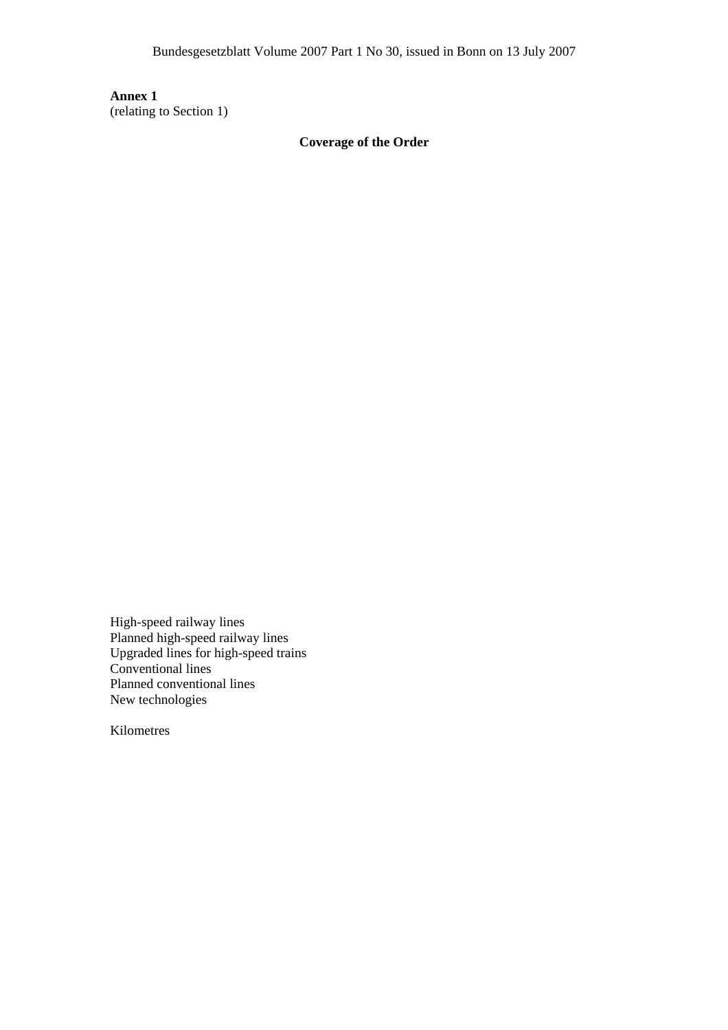**Annex 1** (relating to Section 1)

**Coverage of the Order**

High-speed railway lines Planned high-speed railway lines Upgraded lines for high-speed trains Conventional lines Planned conventional lines New technologies

Kilometres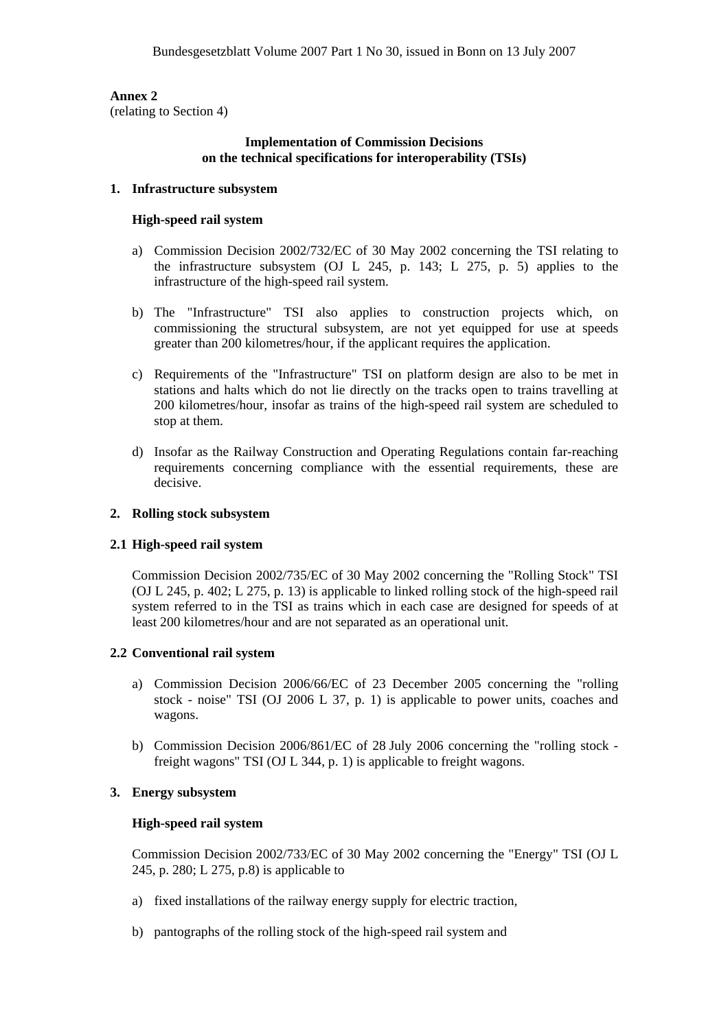**Annex 2** (relating to Section 4)

# **Implementation of Commission Decisions on the technical specifications for interoperability (TSIs)**

### **1. Infrastructure subsystem**

### **High-speed rail system**

- a) Commission Decision 2002/732/EC of 30 May 2002 concerning the TSI relating to the infrastructure subsystem (OJ L 245, p. 143; L 275, p. 5) applies to the infrastructure of the high-speed rail system.
- b) The "Infrastructure" TSI also applies to construction projects which, on commissioning the structural subsystem, are not yet equipped for use at speeds greater than 200 kilometres/hour, if the applicant requires the application.
- c) Requirements of the "Infrastructure" TSI on platform design are also to be met in stations and halts which do not lie directly on the tracks open to trains travelling at 200 kilometres/hour, insofar as trains of the high-speed rail system are scheduled to stop at them.
- d) Insofar as the Railway Construction and Operating Regulations contain far-reaching requirements concerning compliance with the essential requirements, these are decisive.

### **2. Rolling stock subsystem**

# **2.1 High-speed rail system**

 Commission Decision 2002/735/EC of 30 May 2002 concerning the "Rolling Stock" TSI (OJ L 245, p. 402; L 275, p. 13) is applicable to linked rolling stock of the high-speed rail system referred to in the TSI as trains which in each case are designed for speeds of at least 200 kilometres/hour and are not separated as an operational unit.

# **2.2 Conventional rail system**

- a) Commission Decision 2006/66/EC of 23 December 2005 concerning the "rolling stock - noise" TSI (OJ 2006 L 37, p. 1) is applicable to power units, coaches and wagons.
- b) Commission Decision 2006/861/EC of 28 July 2006 concerning the "rolling stock freight wagons" TSI (OJ L 344, p. 1) is applicable to freight wagons.

# **3. Energy subsystem**

# **High-speed rail system**

 Commission Decision 2002/733/EC of 30 May 2002 concerning the "Energy" TSI (OJ L 245, p. 280; L 275, p.8) is applicable to

- a) fixed installations of the railway energy supply for electric traction,
- b) pantographs of the rolling stock of the high-speed rail system and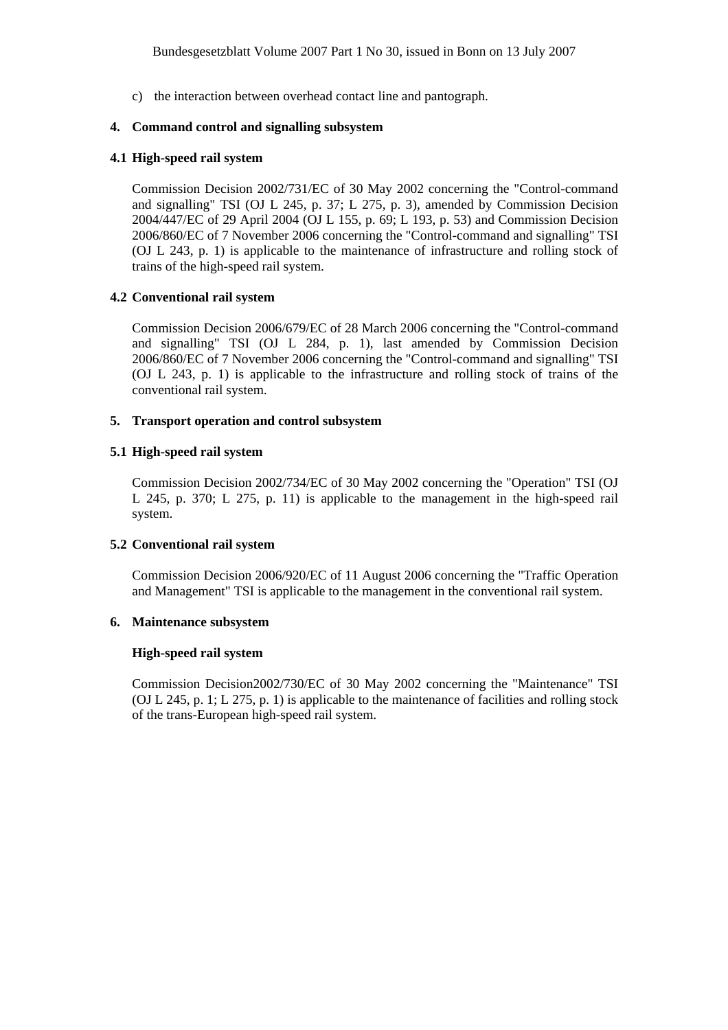c) the interaction between overhead contact line and pantograph.

# **4. Command control and signalling subsystem**

### **4.1 High-speed rail system**

 Commission Decision 2002/731/EC of 30 May 2002 concerning the "Control-command and signalling" TSI (OJ L 245, p. 37; L 275, p. 3), amended by Commission Decision 2004/447/EC of 29 April 2004 (OJ L 155, p. 69; L 193, p. 53) and Commission Decision 2006/860/EC of 7 November 2006 concerning the "Control-command and signalling" TSI (OJ L 243, p. 1) is applicable to the maintenance of infrastructure and rolling stock of trains of the high-speed rail system.

# **4.2 Conventional rail system**

 Commission Decision 2006/679/EC of 28 March 2006 concerning the "Control-command and signalling" TSI (OJ L 284, p. 1), last amended by Commission Decision 2006/860/EC of 7 November 2006 concerning the "Control-command and signalling" TSI (OJ L 243, p. 1) is applicable to the infrastructure and rolling stock of trains of the conventional rail system.

### **5. Transport operation and control subsystem**

### **5.1 High-speed rail system**

Commission Decision 2002/734/EC of 30 May 2002 concerning the "Operation" TSI (OJ L 245, p. 370; L 275, p. 11) is applicable to the management in the high-speed rail system.

# **5.2 Conventional rail system**

 Commission Decision 2006/920/EC of 11 August 2006 concerning the "Traffic Operation and Management" TSI is applicable to the management in the conventional rail system.

### **6. Maintenance subsystem**

#### **High-speed rail system**

 Commission Decision2002/730/EC of 30 May 2002 concerning the "Maintenance" TSI (OJ L 245, p. 1; L 275, p. 1) is applicable to the maintenance of facilities and rolling stock of the trans-European high-speed rail system.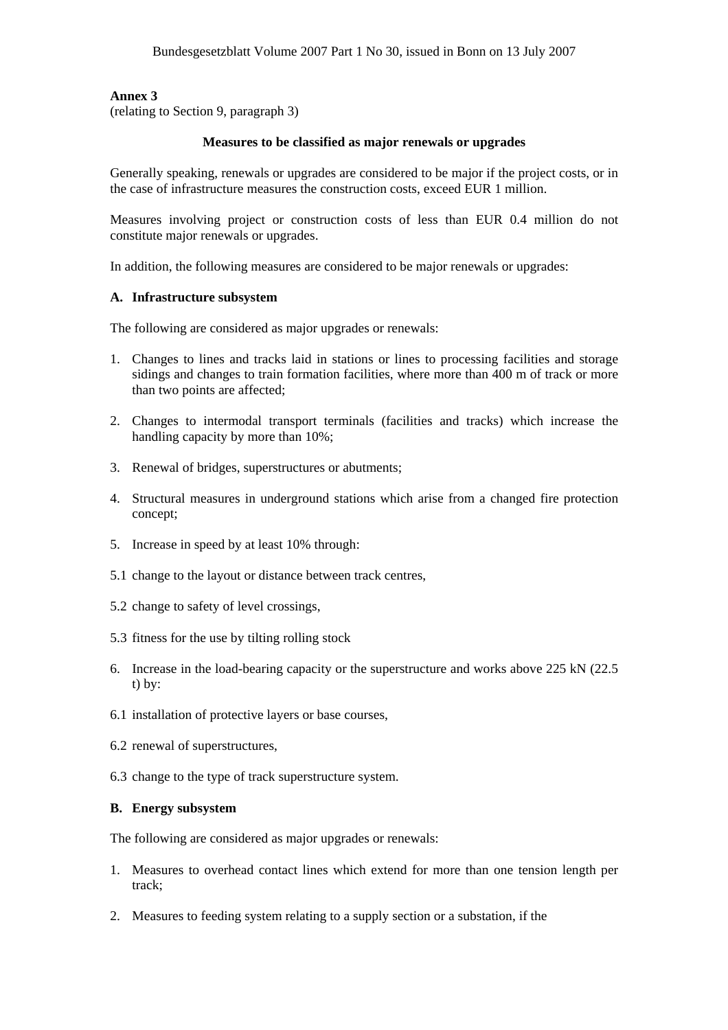**Annex 3**

(relating to Section 9, paragraph 3)

# **Measures to be classified as major renewals or upgrades**

Generally speaking, renewals or upgrades are considered to be major if the project costs, or in the case of infrastructure measures the construction costs, exceed EUR 1 million.

Measures involving project or construction costs of less than EUR 0.4 million do not constitute major renewals or upgrades.

In addition, the following measures are considered to be major renewals or upgrades:

# **A. Infrastructure subsystem**

The following are considered as major upgrades or renewals:

- 1. Changes to lines and tracks laid in stations or lines to processing facilities and storage sidings and changes to train formation facilities, where more than 400 m of track or more than two points are affected;
- 2. Changes to intermodal transport terminals (facilities and tracks) which increase the handling capacity by more than 10%;
- 3. Renewal of bridges, superstructures or abutments;
- 4. Structural measures in underground stations which arise from a changed fire protection concept;
- 5. Increase in speed by at least 10% through:
- 5.1 change to the layout or distance between track centres,
- 5.2 change to safety of level crossings,
- 5.3 fitness for the use by tilting rolling stock
- 6. Increase in the load-bearing capacity or the superstructure and works above 225 kN (22.5 t) by:
- 6.1 installation of protective layers or base courses,
- 6.2 renewal of superstructures,
- 6.3 change to the type of track superstructure system.

# **B. Energy subsystem**

The following are considered as major upgrades or renewals:

- 1. Measures to overhead contact lines which extend for more than one tension length per track;
- 2. Measures to feeding system relating to a supply section or a substation, if the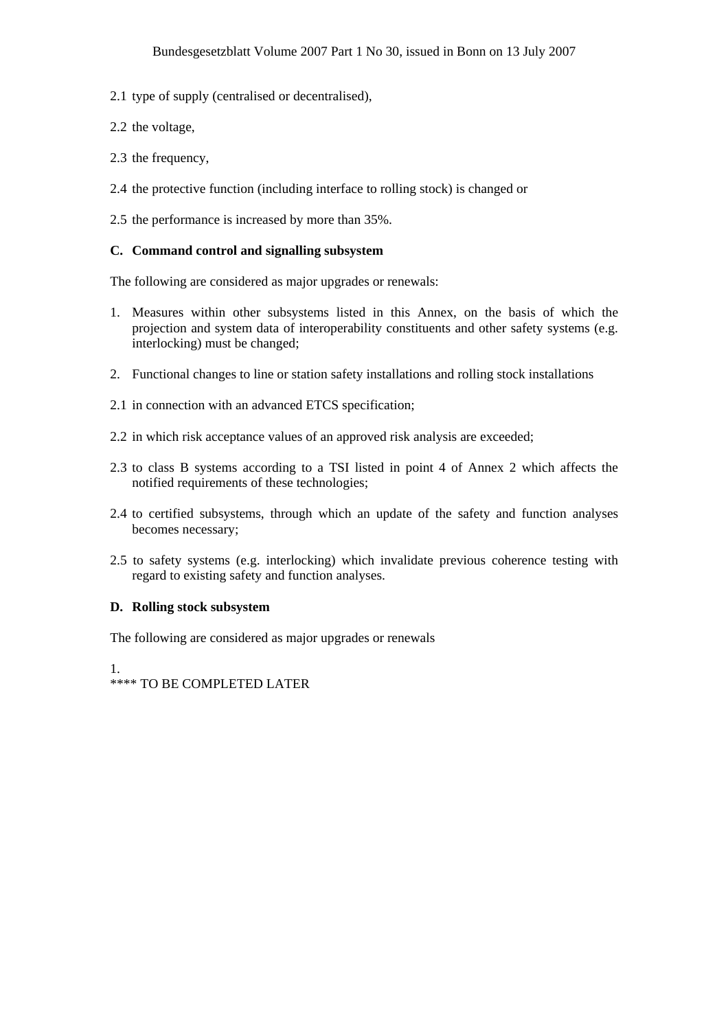- 2.1 type of supply (centralised or decentralised),
- 2.2 the voltage,
- 2.3 the frequency,
- 2.4 the protective function (including interface to rolling stock) is changed or
- 2.5 the performance is increased by more than 35%.

# **C. Command control and signalling subsystem**

The following are considered as major upgrades or renewals:

- 1. Measures within other subsystems listed in this Annex, on the basis of which the projection and system data of interoperability constituents and other safety systems (e.g. interlocking) must be changed;
- 2. Functional changes to line or station safety installations and rolling stock installations
- 2.1 in connection with an advanced ETCS specification;
- 2.2 in which risk acceptance values of an approved risk analysis are exceeded;
- 2.3 to class B systems according to a TSI listed in point 4 of Annex 2 which affects the notified requirements of these technologies;
- 2.4 to certified subsystems, through which an update of the safety and function analyses becomes necessary;
- 2.5 to safety systems (e.g. interlocking) which invalidate previous coherence testing with regard to existing safety and function analyses.

# **D. Rolling stock subsystem**

The following are considered as major upgrades or renewals

1.

\*\*\*\* TO BE COMPLETED LATER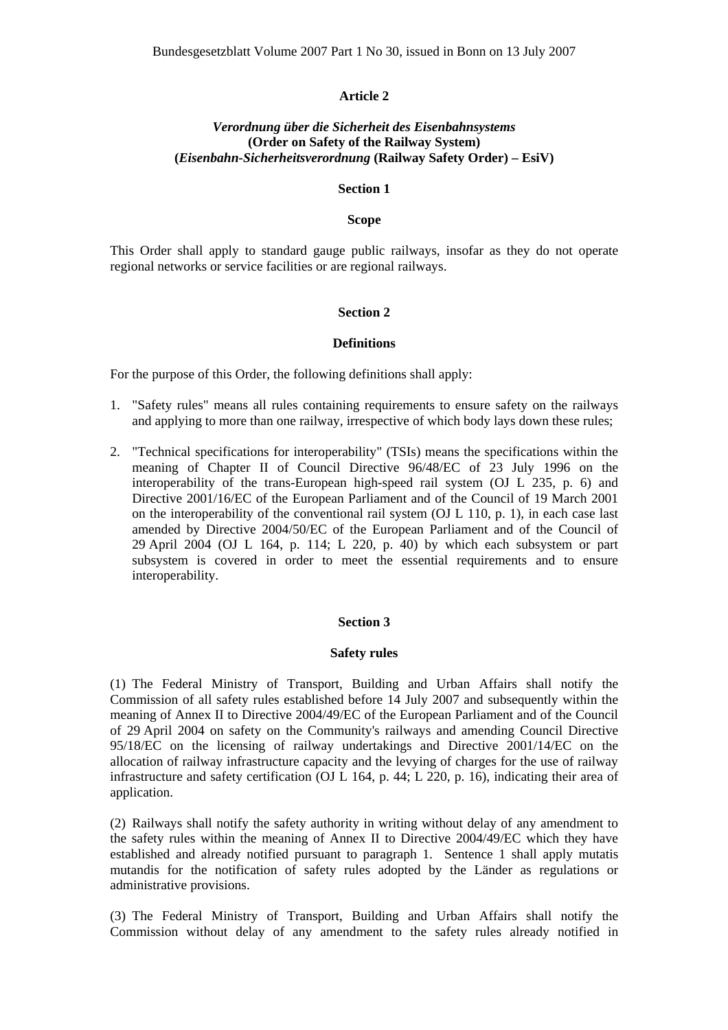### **Article 2**

# *Verordnung über die Sicherheit des Eisenbahnsystems*  **(Order on Safety of the Railway System) (***Eisenbahn-Sicherheitsverordnung* **(Railway Safety Order) – EsiV)**

#### **Section 1**

### **Scope**

This Order shall apply to standard gauge public railways, insofar as they do not operate regional networks or service facilities or are regional railways.

#### **Section 2**

#### **Definitions**

For the purpose of this Order, the following definitions shall apply:

- 1. "Safety rules" means all rules containing requirements to ensure safety on the railways and applying to more than one railway, irrespective of which body lays down these rules;
- 2. "Technical specifications for interoperability" (TSIs) means the specifications within the meaning of Chapter II of Council Directive 96/48/EC of 23 July 1996 on the interoperability of the trans-European high-speed rail system (OJ L 235, p. 6) and Directive 2001/16/EC of the European Parliament and of the Council of 19 March 2001 on the interoperability of the conventional rail system (OJ L 110, p. 1), in each case last amended by Directive 2004/50/EC of the European Parliament and of the Council of 29 April 2004 (OJ L 164, p. 114; L 220, p. 40) by which each subsystem or part subsystem is covered in order to meet the essential requirements and to ensure interoperability.

#### **Section 3**

### **Safety rules**

(1) The Federal Ministry of Transport, Building and Urban Affairs shall notify the Commission of all safety rules established before 14 July 2007 and subsequently within the meaning of Annex II to Directive 2004/49/EC of the European Parliament and of the Council of 29 April 2004 on safety on the Community's railways and amending Council Directive 95/18/EC on the licensing of railway undertakings and Directive 2001/14/EC on the allocation of railway infrastructure capacity and the levying of charges for the use of railway infrastructure and safety certification (OJ L 164, p. 44; L 220, p. 16), indicating their area of application.

(2) Railways shall notify the safety authority in writing without delay of any amendment to the safety rules within the meaning of Annex II to Directive 2004/49/EC which they have established and already notified pursuant to paragraph 1. Sentence 1 shall apply mutatis mutandis for the notification of safety rules adopted by the Länder as regulations or administrative provisions.

(3) The Federal Ministry of Transport, Building and Urban Affairs shall notify the Commission without delay of any amendment to the safety rules already notified in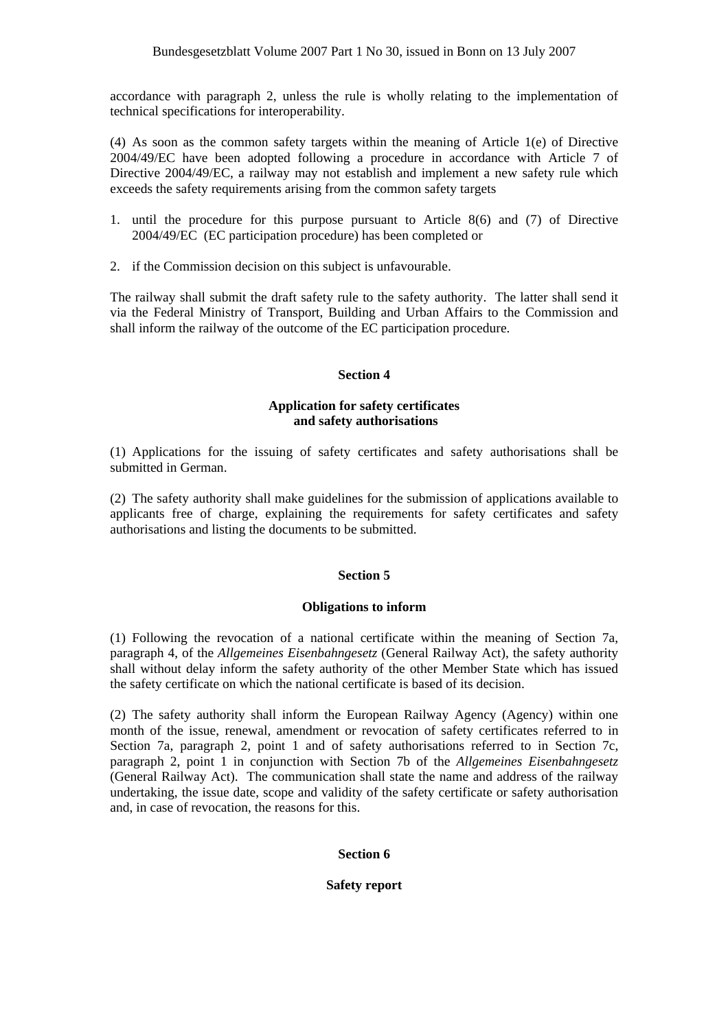accordance with paragraph 2, unless the rule is wholly relating to the implementation of technical specifications for interoperability.

(4) As soon as the common safety targets within the meaning of Article 1(e) of Directive 2004/49/EC have been adopted following a procedure in accordance with Article 7 of Directive 2004/49/EC, a railway may not establish and implement a new safety rule which exceeds the safety requirements arising from the common safety targets

- 1. until the procedure for this purpose pursuant to Article 8(6) and (7) of Directive 2004/49/EC (EC participation procedure) has been completed or
- 2. if the Commission decision on this subject is unfavourable.

The railway shall submit the draft safety rule to the safety authority. The latter shall send it via the Federal Ministry of Transport, Building and Urban Affairs to the Commission and shall inform the railway of the outcome of the EC participation procedure.

# **Section 4**

# **Application for safety certificates and safety authorisations**

(1) Applications for the issuing of safety certificates and safety authorisations shall be submitted in German.

(2) The safety authority shall make guidelines for the submission of applications available to applicants free of charge, explaining the requirements for safety certificates and safety authorisations and listing the documents to be submitted.

# **Section 5**

# **Obligations to inform**

(1) Following the revocation of a national certificate within the meaning of Section 7a, paragraph 4, of the *Allgemeines Eisenbahngesetz* (General Railway Act), the safety authority shall without delay inform the safety authority of the other Member State which has issued the safety certificate on which the national certificate is based of its decision.

(2) The safety authority shall inform the European Railway Agency (Agency) within one month of the issue, renewal, amendment or revocation of safety certificates referred to in Section 7a, paragraph 2, point 1 and of safety authorisations referred to in Section 7c, paragraph 2, point 1 in conjunction with Section 7b of the *Allgemeines Eisenbahngesetz*  (General Railway Act). The communication shall state the name and address of the railway undertaking, the issue date, scope and validity of the safety certificate or safety authorisation and, in case of revocation, the reasons for this.

# **Section 6**

# **Safety report**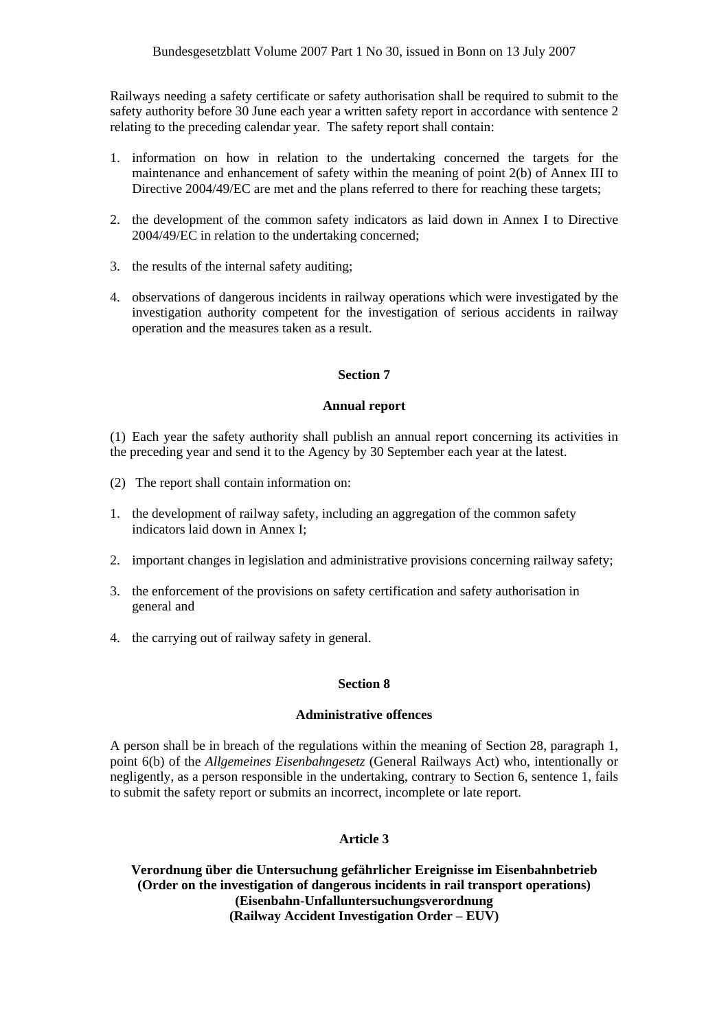Railways needing a safety certificate or safety authorisation shall be required to submit to the safety authority before 30 June each year a written safety report in accordance with sentence 2 relating to the preceding calendar year. The safety report shall contain:

- 1. information on how in relation to the undertaking concerned the targets for the maintenance and enhancement of safety within the meaning of point 2(b) of Annex III to Directive 2004/49/EC are met and the plans referred to there for reaching these targets;
- 2. the development of the common safety indicators as laid down in Annex I to Directive 2004/49/EC in relation to the undertaking concerned;
- 3. the results of the internal safety auditing;
- 4. observations of dangerous incidents in railway operations which were investigated by the investigation authority competent for the investigation of serious accidents in railway operation and the measures taken as a result.

# **Section 7**

# **Annual report**

(1) Each year the safety authority shall publish an annual report concerning its activities in the preceding year and send it to the Agency by 30 September each year at the latest.

- (2) The report shall contain information on:
- 1. the development of railway safety, including an aggregation of the common safety indicators laid down in Annex I;
- 2. important changes in legislation and administrative provisions concerning railway safety;
- 3. the enforcement of the provisions on safety certification and safety authorisation in general and
- 4. the carrying out of railway safety in general.

# **Section 8**

# **Administrative offences**

A person shall be in breach of the regulations within the meaning of Section 28, paragraph 1, point 6(b) of the *Allgemeines Eisenbahngesetz* (General Railways Act) who, intentionally or negligently, as a person responsible in the undertaking, contrary to Section 6, sentence 1, fails to submit the safety report or submits an incorrect, incomplete or late report.

# **Article 3**

**Verordnung über die Untersuchung gefährlicher Ereignisse im Eisenbahnbetrieb (Order on the investigation of dangerous incidents in rail transport operations) (Eisenbahn-Unfalluntersuchungsverordnung (Railway Accident Investigation Order – EUV)**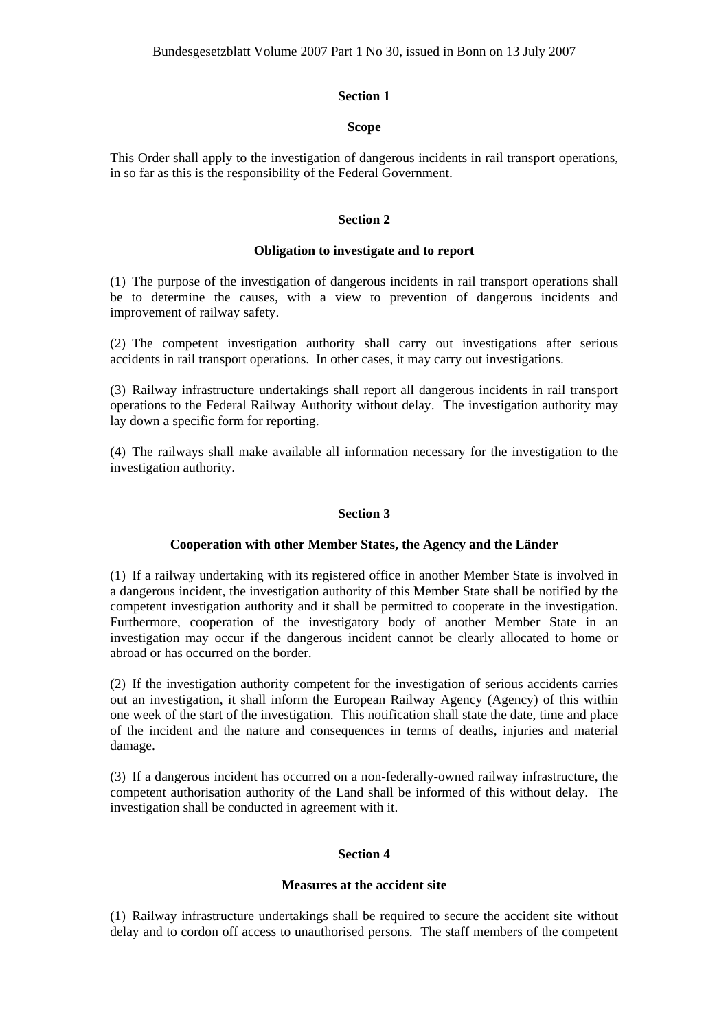### **Section 1**

### **Scope**

This Order shall apply to the investigation of dangerous incidents in rail transport operations, in so far as this is the responsibility of the Federal Government.

### **Section 2**

### **Obligation to investigate and to report**

(1) The purpose of the investigation of dangerous incidents in rail transport operations shall be to determine the causes, with a view to prevention of dangerous incidents and improvement of railway safety.

(2) The competent investigation authority shall carry out investigations after serious accidents in rail transport operations. In other cases, it may carry out investigations.

(3) Railway infrastructure undertakings shall report all dangerous incidents in rail transport operations to the Federal Railway Authority without delay. The investigation authority may lay down a specific form for reporting.

(4) The railways shall make available all information necessary for the investigation to the investigation authority.

### **Section 3**

#### **Cooperation with other Member States, the Agency and the Länder**

(1) If a railway undertaking with its registered office in another Member State is involved in a dangerous incident, the investigation authority of this Member State shall be notified by the competent investigation authority and it shall be permitted to cooperate in the investigation. Furthermore, cooperation of the investigatory body of another Member State in an investigation may occur if the dangerous incident cannot be clearly allocated to home or abroad or has occurred on the border.

(2) If the investigation authority competent for the investigation of serious accidents carries out an investigation, it shall inform the European Railway Agency (Agency) of this within one week of the start of the investigation. This notification shall state the date, time and place of the incident and the nature and consequences in terms of deaths, injuries and material damage.

(3) If a dangerous incident has occurred on a non-federally-owned railway infrastructure, the competent authorisation authority of the Land shall be informed of this without delay. The investigation shall be conducted in agreement with it.

# **Section 4**

#### **Measures at the accident site**

(1) Railway infrastructure undertakings shall be required to secure the accident site without delay and to cordon off access to unauthorised persons. The staff members of the competent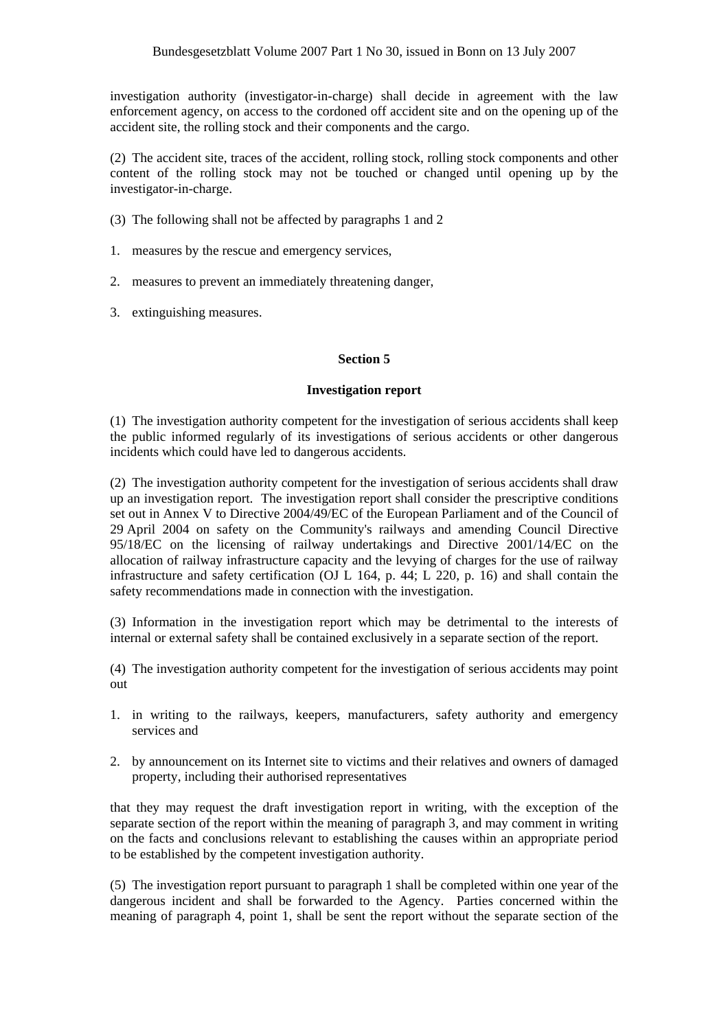investigation authority (investigator-in-charge) shall decide in agreement with the law enforcement agency, on access to the cordoned off accident site and on the opening up of the accident site, the rolling stock and their components and the cargo.

(2) The accident site, traces of the accident, rolling stock, rolling stock components and other content of the rolling stock may not be touched or changed until opening up by the investigator-in-charge.

- (3) The following shall not be affected by paragraphs 1 and 2
- 1. measures by the rescue and emergency services,
- 2. measures to prevent an immediately threatening danger,
- 3. extinguishing measures.

### **Section 5**

### **Investigation report**

(1) The investigation authority competent for the investigation of serious accidents shall keep the public informed regularly of its investigations of serious accidents or other dangerous incidents which could have led to dangerous accidents.

(2) The investigation authority competent for the investigation of serious accidents shall draw up an investigation report. The investigation report shall consider the prescriptive conditions set out in Annex V to Directive 2004/49/EC of the European Parliament and of the Council of 29 April 2004 on safety on the Community's railways and amending Council Directive 95/18/EC on the licensing of railway undertakings and Directive 2001/14/EC on the allocation of railway infrastructure capacity and the levying of charges for the use of railway infrastructure and safety certification (OJ L 164, p. 44; L 220, p. 16) and shall contain the safety recommendations made in connection with the investigation.

(3) Information in the investigation report which may be detrimental to the interests of internal or external safety shall be contained exclusively in a separate section of the report.

(4) The investigation authority competent for the investigation of serious accidents may point out

- 1. in writing to the railways, keepers, manufacturers, safety authority and emergency services and
- 2. by announcement on its Internet site to victims and their relatives and owners of damaged property, including their authorised representatives

that they may request the draft investigation report in writing, with the exception of the separate section of the report within the meaning of paragraph 3, and may comment in writing on the facts and conclusions relevant to establishing the causes within an appropriate period to be established by the competent investigation authority.

(5) The investigation report pursuant to paragraph 1 shall be completed within one year of the dangerous incident and shall be forwarded to the Agency. Parties concerned within the meaning of paragraph 4, point 1, shall be sent the report without the separate section of the